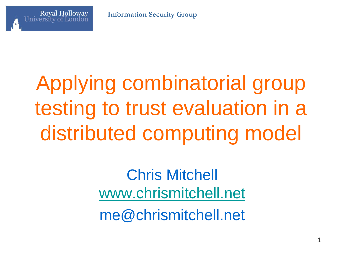**Information Security Group**

#### **Royal Holloway**

# Applying combinatorial group testing to trust evaluation in a distributed computing model

Chris Mitchell [www.chrismitchell.net](http://www.chrismitchell.net/) me@chrismitchell.net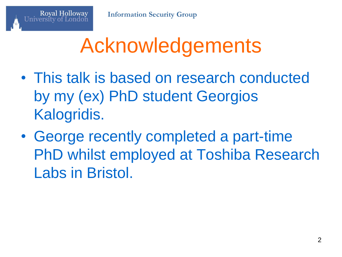## Acknowledgements

- This talk is based on research conducted by my (ex) PhD student Georgios Kalogridis.
- George recently completed a part-time PhD whilst employed at Toshiba Research Labs in Bristol.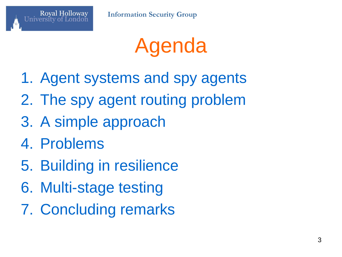

- 1. Agent systems and spy agents
- 2. The spy agent routing problem
- 3. A simple approach
- 4. Problems

- 5. Building in resilience
- 6. Multi-stage testing
- 7. Concluding remarks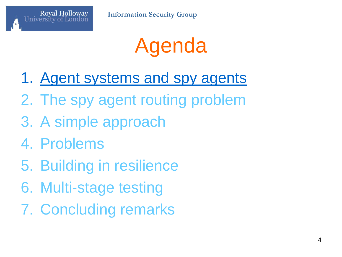

- 1. Agent systems and spy agents
- 2. The spy agent routing problem
- 3. A simple approach
- 4. Problems

- 5. Building in resilience
- 6. Multi-stage testing
- 7. Concluding remarks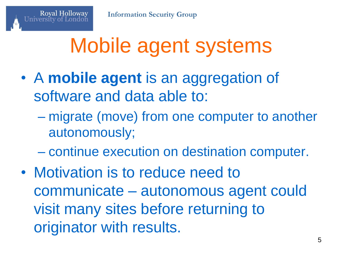# Mobile agent systems

- A **mobile agent** is an aggregation of software and data able to:
	- migrate (move) from one computer to another autonomously;
	- continue execution on destination computer.
- Motivation is to reduce need to communicate – autonomous agent could visit many sites before returning to originator with results.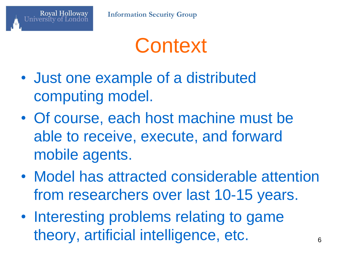

#### **Context**

- Just one example of a distributed computing model.
- Of course, each host machine must be able to receive, execute, and forward mobile agents.
- Model has attracted considerable attention from researchers over last 10-15 years.
- Interesting problems relating to game theory, artificial intelligence, etc.  $66$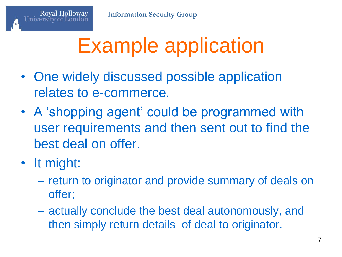# Example application

- One widely discussed possible application relates to e-commerce.
- A 'shopping agent' could be programmed with user requirements and then sent out to find the best deal on offer.
- It might:

- return to originator and provide summary of deals on offer;
- actually conclude the best deal autonomously, and then simply return details of deal to originator.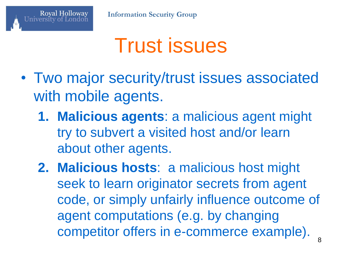

#### Trust issues

- Two major security/trust issues associated with mobile agents.
	- **1. Malicious agents**: a malicious agent might try to subvert a visited host and/or learn about other agents.
	- **2. Malicious hosts**: a malicious host might seek to learn originator secrets from agent code, or simply unfairly influence outcome of agent computations (e.g. by changing competitor offers in e-commerce example).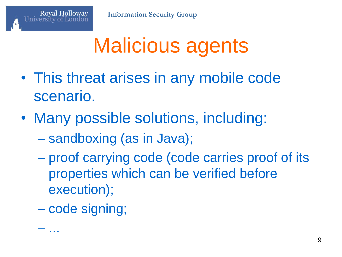## Malicious agents

- This threat arises in any mobile code scenario.
- Many possible solutions, including:
	- sandboxing (as in Java);
	- proof carrying code (code carries proof of its properties which can be verified before execution);
	- code signing;

– ...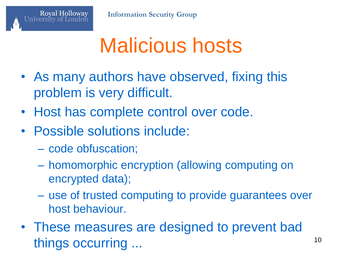

#### Malicious hosts

- As many authors have observed, fixing this problem is very difficult.
- Host has complete control over code.
- Possible solutions include:
	- code obfuscation;

- homomorphic encryption (allowing computing on encrypted data);
- use of trusted computing to provide guarantees over host behaviour.
- These measures are designed to prevent bad things occurring ... 10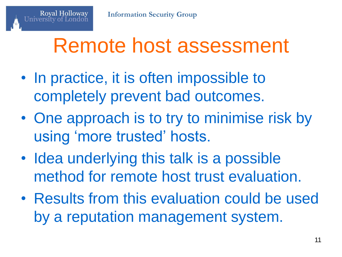#### Remote host assessment

- In practice, it is often impossible to completely prevent bad outcomes.
- One approach is to try to minimise risk by using 'more trusted' hosts.
- Idea underlying this talk is a possible method for remote host trust evaluation.
- Results from this evaluation could be used by a reputation management system.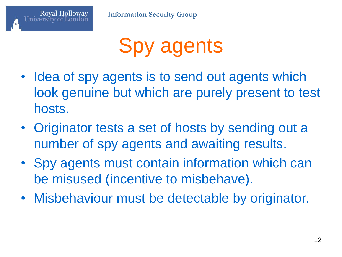

# Spy agents

- Idea of spy agents is to send out agents which look genuine but which are purely present to test hosts.
- Originator tests a set of hosts by sending out a number of spy agents and awaiting results.
- Spy agents must contain information which can be misused (incentive to misbehave).
- Misbehaviour must be detectable by originator.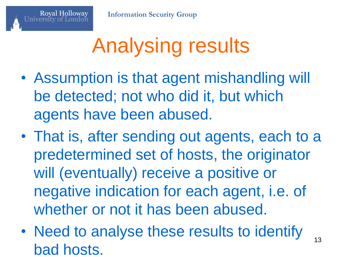# Analysing results

- Assumption is that agent mishandling will be detected; not who did it, but which agents have been abused.
- That is, after sending out agents, each to a predetermined set of hosts, the originator will (eventually) receive a positive or negative indication for each agent, i.e. of whether or not it has been abused.
- Need to analyse these results to identify bad hosts.

13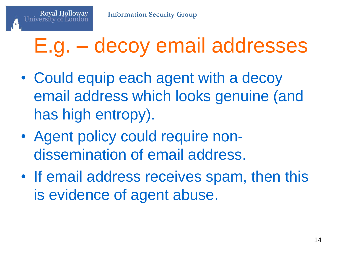### E.g. – decoy email addresses

- Could equip each agent with a decoy email address which looks genuine (and has high entropy).
- Agent policy could require nondissemination of email address.
- If email address receives spam, then this is evidence of agent abuse.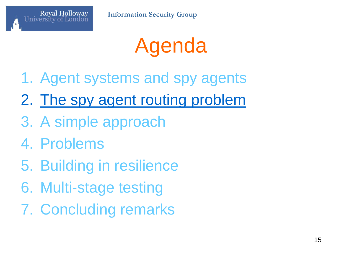

### Agenda

- 1. Agent systems and spy agents
- 2. The spy agent routing problem
- 3. A simple approach
- 4. Problems

- 5. Building in resilience
- 6. Multi-stage testing
- 7. Concluding remarks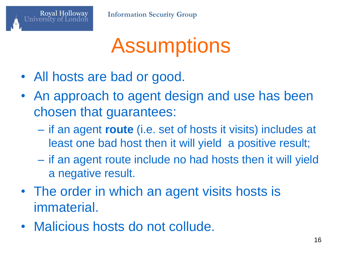

### **Assumptions**

• All hosts are bad or good.

- An approach to agent design and use has been chosen that guarantees:
	- if an agent **route** (i.e. set of hosts it visits) includes at least one bad host then it will yield a positive result;
	- if an agent route include no had hosts then it will yield a negative result.
- The order in which an agent visits hosts is immaterial.
- Malicious hosts do not collude.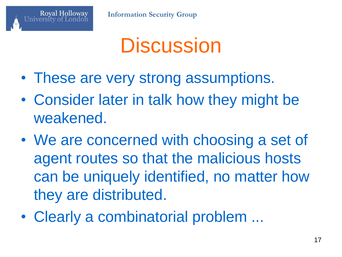

#### **Discussion**

- These are very strong assumptions.
- Consider later in talk how they might be weakened.
- We are concerned with choosing a set of agent routes so that the malicious hosts can be uniquely identified, no matter how they are distributed.
- Clearly a combinatorial problem ...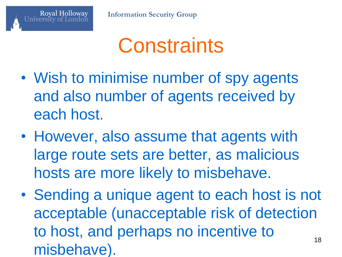#### **Constraints**

- Wish to minimise number of spy agents and also number of agents received by each host.
- However, also assume that agents with large route sets are better, as malicious hosts are more likely to misbehave.
- Sending a unique agent to each host is not acceptable (unacceptable risk of detection to host, and perhaps no incentive to misbehave). 18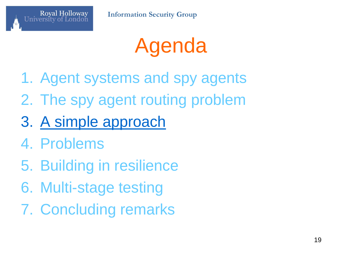



- 1. Agent systems and spy agents
- 2. The spy agent routing problem
- 3. A simple approach
- 4. Problems

- 5. Building in resilience
- 6. Multi-stage testing
- 7. Concluding remarks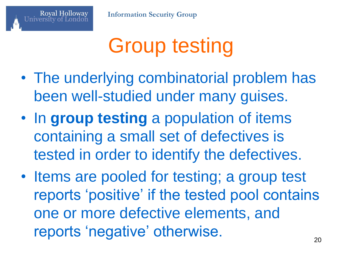

# Group testing

- The underlying combinatorial problem has been well-studied under many guises.
- In **group testing** a population of items containing a small set of defectives is tested in order to identify the defectives.
- Items are pooled for testing; a group test reports 'positive' if the tested pool contains one or more defective elements, and reports 'negative' otherwise.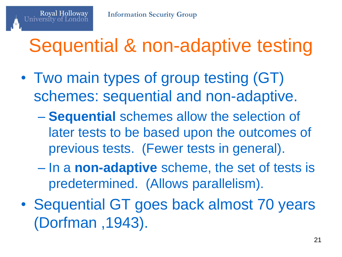#### Sequential & non-adaptive testing

- Two main types of group testing (GT) schemes: sequential and non-adaptive.
	- **Sequential** schemes allow the selection of later tests to be based upon the outcomes of previous tests. (Fewer tests in general).
	- In a **non-adaptive** scheme, the set of tests is predetermined. (Allows parallelism).
- Sequential GT goes back almost 70 years (Dorfman ,1943).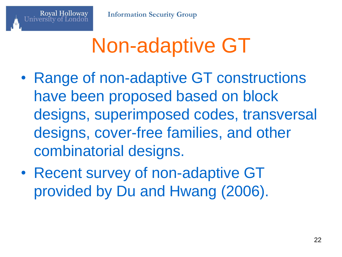# Non-adaptive GT

- Range of non-adaptive GT constructions have been proposed based on block designs, superimposed codes, transversal designs, cover-free families, and other combinatorial designs.
- Recent survey of non-adaptive GT provided by Du and Hwang (2006).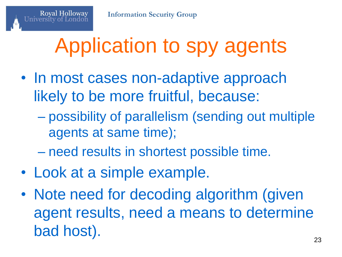## Application to spy agents

- In most cases non-adaptive approach likely to be more fruitful, because:
	- possibility of parallelism (sending out multiple agents at same time);
	- need results in shortest possible time.
- Look at a simple example.

**Royal Holloway** 

• Note need for decoding algorithm (given agent results, need a means to determine bad host).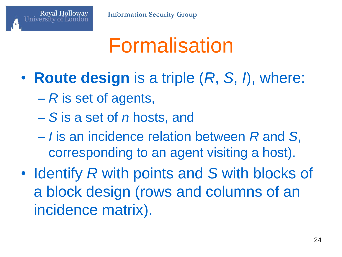### Formalisation

- **Route design** is a triple (*R*, *S*, *I*), where:
	- *R* is set of agents,

- *S* is a set of *n* hosts, and
- *I* is an incidence relation between *R* and *S*, corresponding to an agent visiting a host).
- Identify *R* with points and *S* with blocks of a block design (rows and columns of an incidence matrix).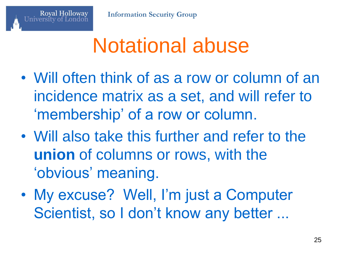### Notational abuse

- Will often think of as a row or column of an incidence matrix as a set, and will refer to 'membership' of a row or column.
- Will also take this further and refer to the **union** of columns or rows, with the 'obvious' meaning.
- My excuse? Well, I'm just a Computer Scientist, so I don't know any better ...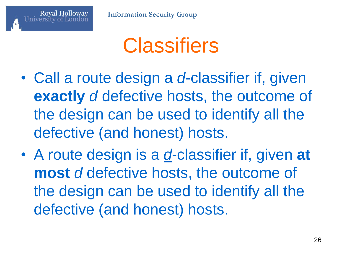

- Call a route design a *d*-classifier if, given **exactly** *d* defective hosts, the outcome of the design can be used to identify all the defective (and honest) hosts.
- A route design is a *d*-classifier if, given **at most** *d* defective hosts, the outcome of the design can be used to identify all the defective (and honest) hosts.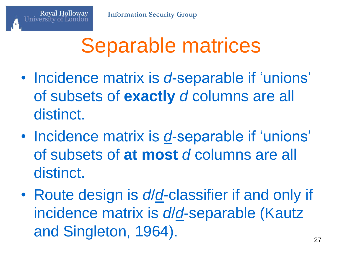### Separable matrices

- Incidence matrix is *d*-separable if 'unions' of subsets of **exactly** *d* columns are all distinct.
- Incidence matrix is *d*-separable if 'unions' of subsets of **at most** *d* columns are all distinct.
- Route design is *d*/*d*-classifier if and only if incidence matrix is *d*/*d*-separable (Kautz and Singleton, 1964).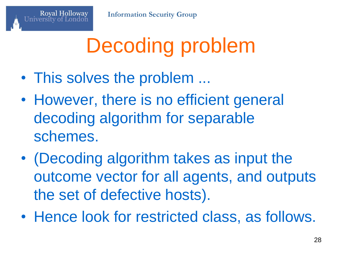# Decoding problem

• This solves the problem ...

- However, there is no efficient general decoding algorithm for separable schemes.
- (Decoding algorithm takes as input the outcome vector for all agents, and outputs the set of defective hosts).
- Hence look for restricted class, as follows.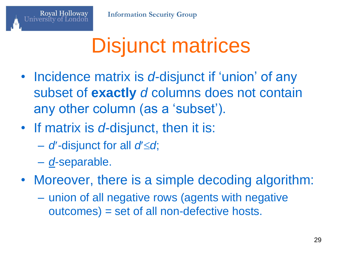## Disjunct matrices

- Incidence matrix is *d*-disjunct if 'union' of any subset of **exactly** *d* columns does not contain any other column (as a 'subset').
- If matrix is *d*-disjunct, then it is:
	- $-$  *d*'-disjunct for all *d'* $\leq$ *d*;
	- *d*-separable.

- Moreover, there is a simple decoding algorithm:
	- union of all negative rows (agents with negative outcomes) = set of all non-defective hosts.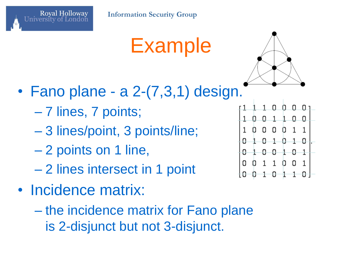

Example



- Fano plane a 2-(7,3,1) design.
	- 7 lines, 7 points;
	- 3 lines/point, 3 points/line;
	- 2 points on 1 line,
	- 2 lines intersect in 1 point
- Incidence matrix:
	- the incidence matrix for Fano plane is 2-disjunct but not 3-disjunct.

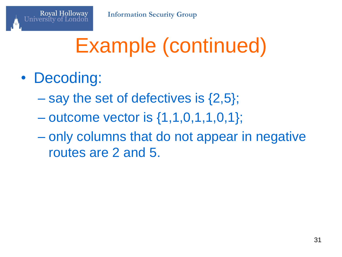# Example (continued)

• Decoding:

- $-$  say the set of defectives is  $\{2,5\}$ ;
- $-$  outcome vector is  $\{1,1,0,1,1,0,1\};$
- only columns that do not appear in negative routes are 2 and 5.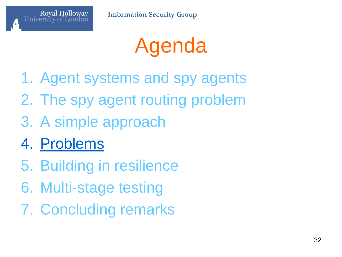

# Agenda

- 1. Agent systems and spy agents
- 2. The spy agent routing problem
- 3. A simple approach
- 4. Problems
- 5. Building in resilience
- 6. Multi-stage testing
- 7. Concluding remarks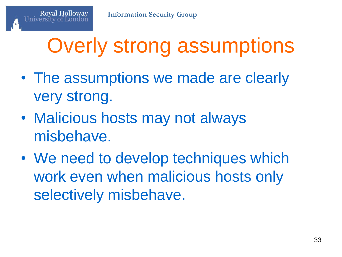# Overly strong assumptions

- The assumptions we made are clearly very strong.
- Malicious hosts may not always misbehave.
- We need to develop techniques which work even when malicious hosts only selectively misbehave.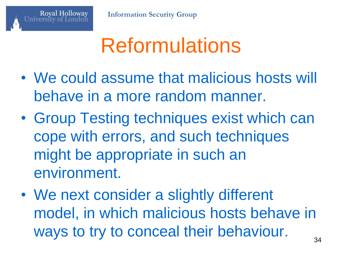

### Reformulations

- We could assume that malicious hosts will behave in a more random manner.
- Group Testing techniques exist which can cope with errors, and such techniques might be appropriate in such an environment.
- We next consider a slightly different model, in which malicious hosts behave in ways to try to conceal their behaviour.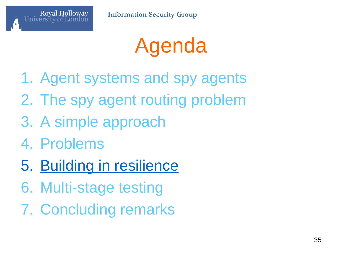

# Agenda

- 1. Agent systems and spy agents
- 2. The spy agent routing problem
- 3. A simple approach
- 4. Problems
- 5. Building in resilience
- 6. Multi-stage testing
- 7. Concluding remarks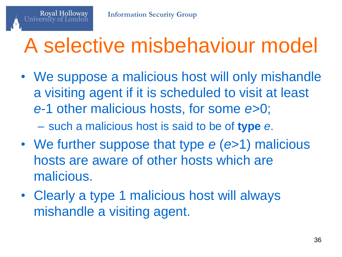### A selective misbehaviour model

• We suppose a malicious host will only mishandle a visiting agent if it is scheduled to visit at least *e*-1 other malicious hosts, for some *e*>0;

– such a malicious host is said to be of **type** *e*.

- We further suppose that type *e* (*e*>1) malicious hosts are aware of other hosts which are malicious.
- Clearly a type 1 malicious host will always mishandle a visiting agent.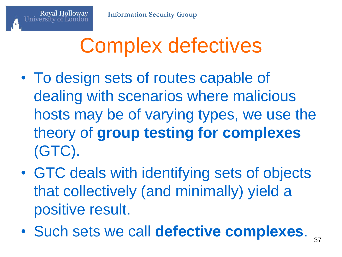## Complex defectives

- To design sets of routes capable of dealing with scenarios where malicious hosts may be of varying types, we use the theory of **group testing for complexes** (GTC).
- GTC deals with identifying sets of objects that collectively (and minimally) yield a positive result.
- Such sets we call **defective complexes**.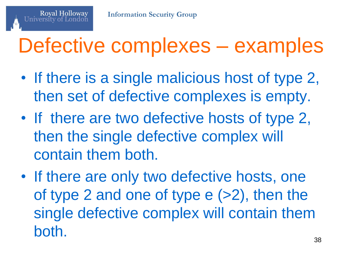#### Defective complexes – examples

- If there is a single malicious host of type 2, then set of defective complexes is empty.
- If there are two defective hosts of type 2, then the single defective complex will contain them both.
- If there are only two defective hosts, one of type 2 and one of type e (>2), then the single defective complex will contain them both.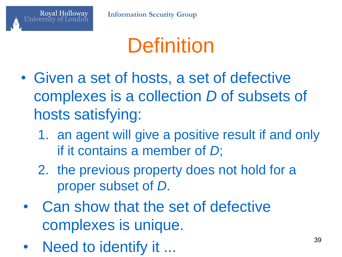

### **Definition**

- Given a set of hosts, a set of defective complexes is a collection *D* of subsets of hosts satisfying:
	- 1. an agent will give a positive result if and only if it contains a member of *D*;
	- 2. the previous property does not hold for a proper subset of *D*.
- Can show that the set of defective complexes is unique.
- Need to identify it ... 39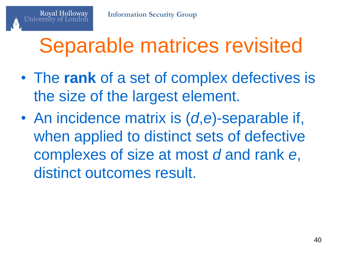### Separable matrices revisited

- The **rank** of a set of complex defectives is the size of the largest element.
- An incidence matrix is (*d*,*e*)-separable if, when applied to distinct sets of defective complexes of size at most *d* and rank *e*, distinct outcomes result.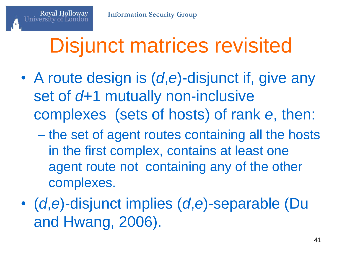## Disjunct matrices revisited

- A route design is (*d*,*e*)-disjunct if, give any set of *d*+1 mutually non-inclusive complexes (sets of hosts) of rank *e*, then:
	- the set of agent routes containing all the hosts in the first complex, contains at least one agent route not containing any of the other complexes.
- (*d*,*e*)-disjunct implies (*d*,*e*)-separable (Du and Hwang, 2006).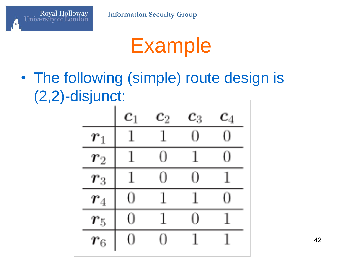

University of London

#### Example

• The following (simple) route design is (2,2)-disjunct:



42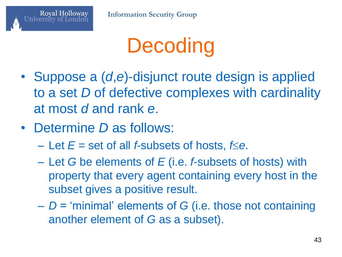

# **Decoding**

- Suppose a (*d*,*e*)-disjunct route design is applied to a set *D* of defective complexes with cardinality at most *d* and rank *e*.
- Determine *D* as follows:
	- $-$  Let  $E$  = set of all *f*-subsets of hosts,  $f \le e$ .
	- Let *G* be elements of *E* (i.e. *f*-subsets of hosts) with property that every agent containing every host in the subset gives a positive result.
	- *D* = 'minimal' elements of *G* (i.e. those not containing another element of *G* as a subset).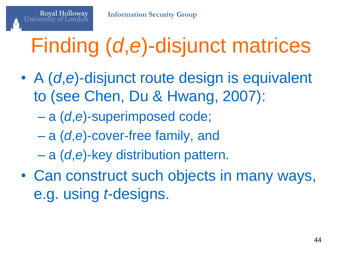# Finding (*d*,*e*)-disjunct matrices

- A (*d*,*e*)-disjunct route design is equivalent to (see Chen, Du & Hwang, 2007):
	- a (*d*,*e*)-superimposed code;

- a (*d*,*e*)-cover-free family, and
- a (*d*,*e*)-key distribution pattern.
- Can construct such objects in many ways, e.g. using *t*-designs.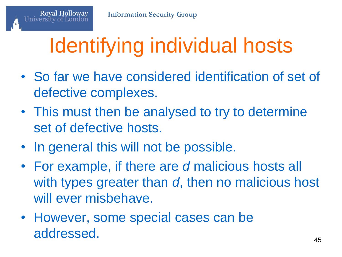# Identifying individual hosts

- So far we have considered identification of set of defective complexes.
- This must then be analysed to try to determine set of defective hosts.
- In general this will not be possible.
- For example, if there are *d* malicious hosts all with types greater than *d*, then no malicious host will ever misbehave.
- However, some special cases can be addressed. 45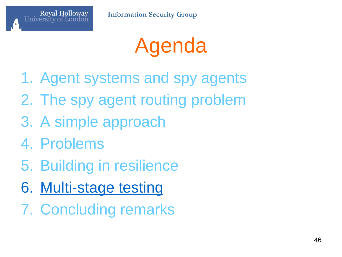

# Agenda

- 1. Agent systems and spy agents
- 2. The spy agent routing problem
- 3. A simple approach
- 4. Problems
- 5. Building in resilience
- 6. Multi-stage testing
- 7. Concluding remarks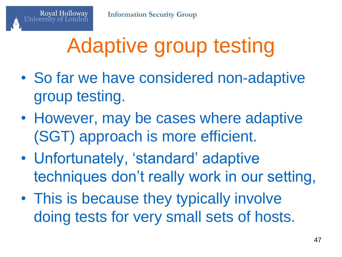# Adaptive group testing

- So far we have considered non-adaptive group testing.
- However, may be cases where adaptive (SGT) approach is more efficient.
- Unfortunately, 'standard' adaptive techniques don't really work in our setting,
- This is because they typically involve doing tests for very small sets of hosts.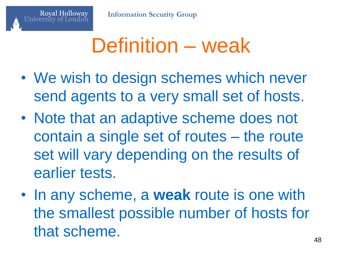#### Definition – weak

- We wish to design schemes which never send agents to a very small set of hosts.
- Note that an adaptive scheme does not contain a single set of routes – the route set will vary depending on the results of earlier tests.
- In any scheme, a **weak** route is one with the smallest possible number of hosts for that scheme.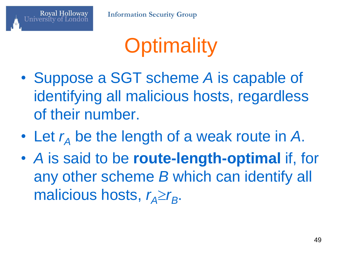

**Information Security Group**

# **Optimality**

- Suppose a SGT scheme *A* is capable of identifying all malicious hosts, regardless of their number.
- Let  $r_A$  be the length of a weak route in A.
- *A* is said to be **route-length-optimal** if, for any other scheme *B* which can identify all malicious hosts,  $r_A \ge r_B$ .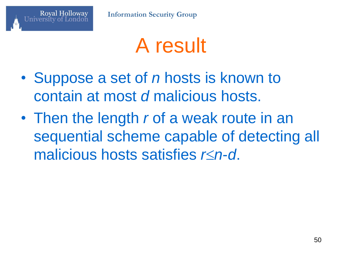

#### A result

- Suppose a set of *n* hosts is known to contain at most *d* malicious hosts.
- Then the length *r* of a weak route in an sequential scheme capable of detecting all malicious hosts satisfies *rn*-*d*.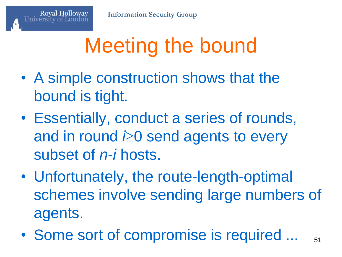# Meeting the bound

- A simple construction shows that the bound is tight.
- Essentially, conduct a series of rounds, and in round **i≥0** send agents to every subset of *n*-*i* hosts.
- Unfortunately, the route-length-optimal schemes involve sending large numbers of agents.
- Some sort of compromise is required ... 51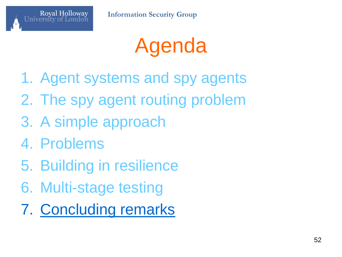

# Agenda

- 1. Agent systems and spy agents
- 2. The spy agent routing problem
- 3. A simple approach
- 4. Problems
- 5. Building in resilience
- 6. Multi-stage testing
- 7. Concluding remarks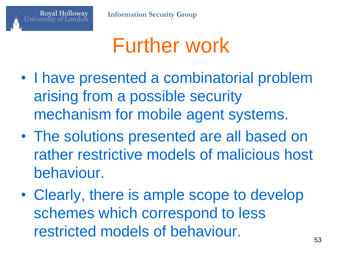

#### Further work

- I have presented a combinatorial problem arising from a possible security mechanism for mobile agent systems.
- The solutions presented are all based on rather restrictive models of malicious host behaviour.
- Clearly, there is ample scope to develop schemes which correspond to less restricted models of behaviour.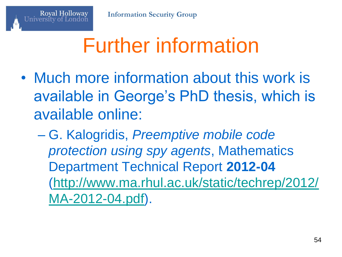# Further information

- Much more information about this work is available in George's PhD thesis, which is available online:
	- G. Kalogridis, *Preemptive mobile code protection using spy agents*, Mathematics Department Technical Report **2012-04** ([http://www.ma.rhul.ac.uk/static/techrep/2012/](http://www.ma.rhul.ac.uk/static/techrep/2012/MA-2012-04.pdf) [MA-2012-04.pdf\)](http://www.ma.rhul.ac.uk/static/techrep/2012/MA-2012-04.pdf).